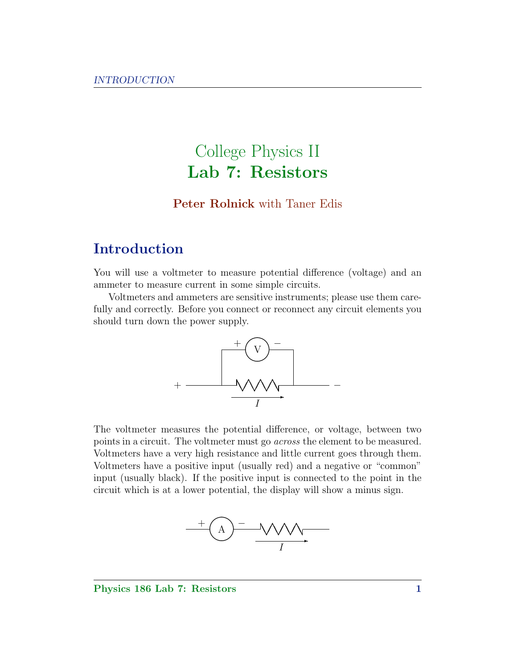# College Physics II Lab 7: Resistors

### Peter Rolnick with Taner Edis

# Introduction

You will use a voltmeter to measure potential difference (voltage) and an ammeter to measure current in some simple circuits.

Voltmeters and ammeters are sensitive instruments; please use them carefully and correctly. Before you connect or reconnect any circuit elements you should turn down the power supply.



The voltmeter measures the potential difference, or voltage, between two points in a circuit. The voltmeter must go across the element to be measured. Voltmeters have a very high resistance and little current goes through them. Voltmeters have a positive input (usually red) and a negative or "common" input (usually black). If the positive input is connected to the point in the circuit which is at a lower potential, the display will show a minus sign.



#### Physics 186 Lab 7: Resistors 1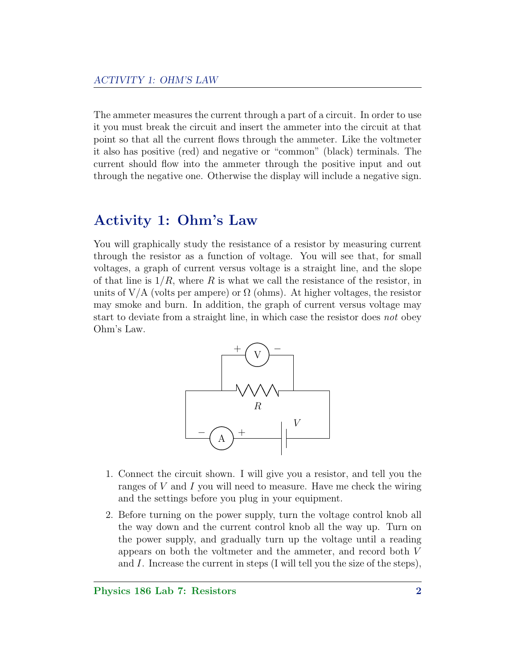The ammeter measures the current through a part of a circuit. In order to use it you must break the circuit and insert the ammeter into the circuit at that point so that all the current flows through the ammeter. Like the voltmeter it also has positive (red) and negative or "common" (black) terminals. The current should flow into the ammeter through the positive input and out through the negative one. Otherwise the display will include a negative sign.

## Activity 1: Ohm's Law

You will graphically study the resistance of a resistor by measuring current through the resistor as a function of voltage. You will see that, for small voltages, a graph of current versus voltage is a straight line, and the slope of that line is  $1/R$ , where R is what we call the resistance of the resistor, in units of V/A (volts per ampere) or  $\Omega$  (ohms). At higher voltages, the resistor may smoke and burn. In addition, the graph of current versus voltage may start to deviate from a straight line, in which case the resistor does not obey Ohm's Law.



- 1. Connect the circuit shown. I will give you a resistor, and tell you the ranges of  $V$  and  $I$  you will need to measure. Have me check the wiring and the settings before you plug in your equipment.
- 2. Before turning on the power supply, turn the voltage control knob all the way down and the current control knob all the way up. Turn on the power supply, and gradually turn up the voltage until a reading appears on both the voltmeter and the ammeter, and record both V and I. Increase the current in steps (I will tell you the size of the steps),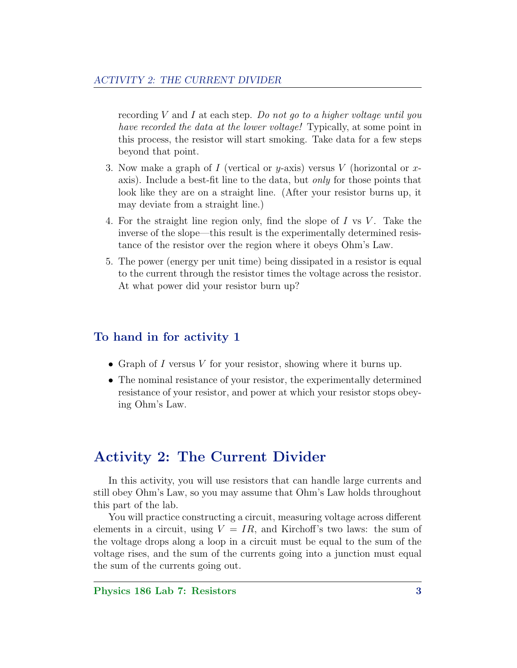recording  $V$  and  $I$  at each step. Do not go to a higher voltage until you have recorded the data at the lower voltage! Typically, at some point in this process, the resistor will start smoking. Take data for a few steps beyond that point.

- 3. Now make a graph of I (vertical or y-axis) versus V (horizontal or xaxis). Include a best-fit line to the data, but only for those points that look like they are on a straight line. (After your resistor burns up, it may deviate from a straight line.)
- 4. For the straight line region only, find the slope of  $I$  vs  $V$ . Take the inverse of the slope—this result is the experimentally determined resistance of the resistor over the region where it obeys Ohm's Law.
- 5. The power (energy per unit time) being dissipated in a resistor is equal to the current through the resistor times the voltage across the resistor. At what power did your resistor burn up?

#### To hand in for activity 1

- Graph of I versus V for your resistor, showing where it burns up.
- The nominal resistance of your resistor, the experimentally determined resistance of your resistor, and power at which your resistor stops obeying Ohm's Law.

# Activity 2: The Current Divider

In this activity, you will use resistors that can handle large currents and still obey Ohm's Law, so you may assume that Ohm's Law holds throughout this part of the lab.

You will practice constructing a circuit, measuring voltage across different elements in a circuit, using  $V = IR$ , and Kirchoff's two laws: the sum of the voltage drops along a loop in a circuit must be equal to the sum of the voltage rises, and the sum of the currents going into a junction must equal the sum of the currents going out.